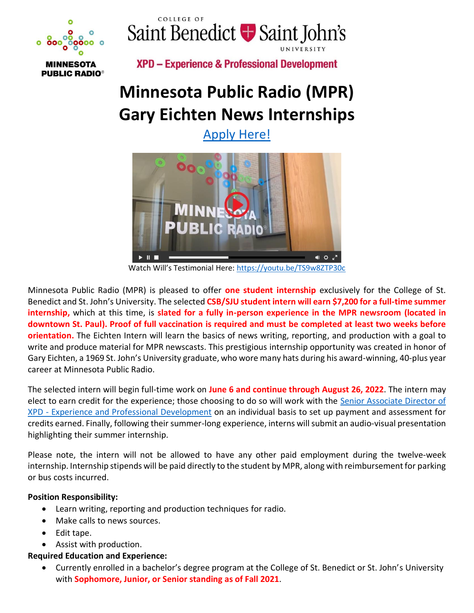



**MINNESOTA PUBLIC RADIO®**  **XPD - Experience & Professional Development** 

# **Minnesota Public Radio (MPR) Gary Eichten News Internships**

[Apply Here!](https://www.csbsju.edu/forms/I3YZN7KTZA)



Watch Will's Testimonial Here: <https://youtu.be/TS9w8ZTP30c>

Minnesota Public Radio (MPR) is pleased to offer **one student internship** exclusively for the College of St. Benedict and St. John's University. The selected **CSB/SJU student intern will earn \$7,200 for a full-time summer internship,** which at this time, is **slated for a fully in-person experience in the MPR newsroom (located in downtown St. Paul). Proof of full vaccination is required and must be completed at least two weeks before orientation.** The Eichten Intern will learn the basics of news writing, reporting, and production with a goal to write and produce material for MPR newscasts. This prestigious internship opportunity was created in honor of Gary Eichten, a 1969 St. John's University graduate, who wore many hats during his award-winning, 40-plus year career at Minnesota Public Radio.

The selected intern will begin full-time work on **June 6 and continue through August 26, 2022**. The intern may elect to earn credit for the experience; those choosing to do so will work with the [Senior Associate](mailto:lhammond@csbsju.edu) Director of XPD - [Experience and Professional Development](mailto:lhammond@csbsju.edu) on an individual basis to set up payment and assessment for credits earned. Finally, following their summer-long experience, interns will submit an audio-visual presentation highlighting their summer internship.

Please note, the intern will not be allowed to have any other paid employment during the twelve-week internship. Internship stipends will be paid directly to the student by MPR, along with reimbursement for parking or bus costs incurred.

#### **Position Responsibility:**

- Learn writing, reporting and production techniques for radio.
- Make calls to news sources.
- Edit tape.
- Assist with production.

#### **Required Education and Experience:**

• Currently enrolled in a bachelor's degree program at the College of St. Benedict or St. John's University with **Sophomore, Junior, or Senior standing as of Fall 2021**.